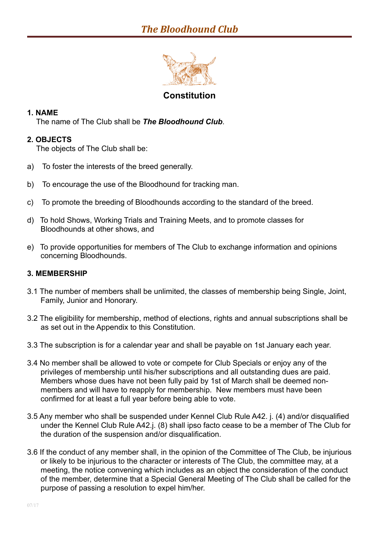

## **Constitution**

## **1. NAME**

The name of The Club shall be *The Bloodhound Club*.

## **2. OBJECTS**

The objects of The Club shall be:

- a) To foster the interests of the breed generally.
- b) To encourage the use of the Bloodhound for tracking man.
- c) To promote the breeding of Bloodhounds according to the standard of the breed.
- d) To hold Shows, Working Trials and Training Meets, and to promote classes for Bloodhounds at other shows, and
- e) To provide opportunities for members of The Club to exchange information and opinions concerning Bloodhounds.

## **3. MEMBERSHIP**

- 3.1 The number of members shall be unlimited, the classes of membership being Single, Joint, Family, Junior and Honorary.
- 3.2 The eligibility for membership, method of elections, rights and annual subscriptions shall be as set out in the Appendix to this Constitution.
- 3.3 The subscription is for a calendar year and shall be payable on 1st January each year.
- 3.4 No member shall be allowed to vote or compete for Club Specials or enjoy any of the privileges of membership until his/her subscriptions and all outstanding dues are paid. Members whose dues have not been fully paid by 1st of March shall be deemed nonmembers and will have to reapply for membership. New members must have been confirmed for at least a full year before being able to vote.
- 3.5 Any member who shall be suspended under Kennel Club Rule A42. j. (4) and/or disqualified under the Kennel Club Rule A42.j. (8) shall ipso facto cease to be a member of The Club for the duration of the suspension and/or disqualification.
- 3.6 If the conduct of any member shall, in the opinion of the Committee of The Club, be injurious or likely to be injurious to the character or interests of The Club, the committee may, at a meeting, the notice convening which includes as an object the consideration of the conduct of the member, determine that a Special General Meeting of The Club shall be called for the purpose of passing a resolution to expel him/her.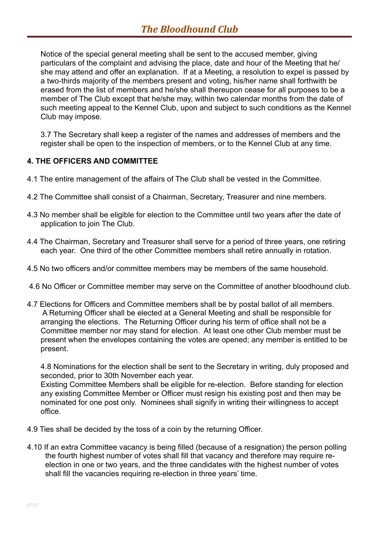Notice of the special general meeting shall be sent to the accused member, giving particulars of the complaint and advising the place, date and hour of the Meeting that he/ she may attend and offer an explanation. If at a Meeting, a resolution to expel is passed by a two-thirds majority of the members present and voting, his/her name shall forthwith be erased from the list of members and he/she shall thereupon cease for all purposes to be a member of The Club except that he/she may, within two calendar months from the date of such meeting appeal to the Kennel Club, upon and subject to such conditions as the Kennel Club may impose.

3.7 The Secretary shall keep a register of the names and addresses of members and the register shall be open to the inspection of members, or to the Kennel Club at any time.

## **4. THE OFFICERS AND COMMITTEE**

- 4.1 The entire management of the affairs of The Club shall be vested in the Committee.
- 4.2 The Committee shall consist of a Chairman, Secretary, Treasurer and nine members.
- 4.3 No member shall be eligible for election to the Committee until two years after the date of application to join The Club.
- 4.4 The Chairman, Secretary and Treasurer shall serve for a period of three years, one retiring each year. One third of the other Committee members shall retire annually in rotation.
- 4.5 No two officers and/or committee members may be members of the same household.
- 4.6 No Officer or Committee member may serve on the Committee of another bloodhound club.
- 4.7 Elections for Officers and Committee members shall be by postal ballot of all members. A Returning Officer shall be elected at a General Meeting and shall be responsible for arranging the elections. The Returning Officer during his term of office shall not be a Committee member nor may stand for election. At least one other Club member must be present when the envelopes containing the votes are opened; any member is entitled to be present.

4.8 Nominations for the election shall be sent to the Secretary in writing, duly proposed and seconded, prior to 30th November each year.

Existing Committee Members shall be eligible for re-election. Before standing for election any existing Committee Member or Officer must resign his existing post and then may be nominated for one post only. Nominees shall signify in writing their willingness to accept office.

- 4.9 Ties shall be decided by the toss of a coin by the returning Officer.
- 4.10 If an extra Committee vacancy is being filled (because of a resignation) the person polling the fourth highest number of votes shall fill that vacancy and therefore may require reelection in one or two years, and the three candidates with the highest number of votes shall fill the vacancies requiring re-election in three years' time.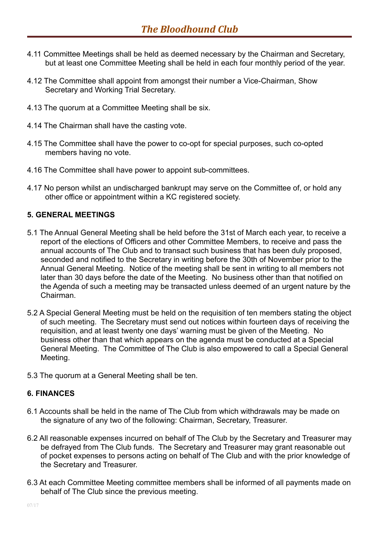- 4.11 Committee Meetings shall be held as deemed necessary by the Chairman and Secretary, but at least one Committee Meeting shall be held in each four monthly period of the year.
- 4.12 The Committee shall appoint from amongst their number a Vice-Chairman, Show Secretary and Working Trial Secretary.
- 4.13 The quorum at a Committee Meeting shall be six.
- 4.14 The Chairman shall have the casting vote.
- 4.15 The Committee shall have the power to co-opt for special purposes, such co-opted members having no vote.
- 4.16 The Committee shall have power to appoint sub-committees.
- 4.17 No person whilst an undischarged bankrupt may serve on the Committee of, or hold any other office or appointment within a KC registered society.

#### **5. GENERAL MEETINGS**

- 5.1 The Annual General Meeting shall be held before the 31st of March each year, to receive a report of the elections of Officers and other Committee Members, to receive and pass the annual accounts of The Club and to transact such business that has been duly proposed, seconded and notified to the Secretary in writing before the 30th of November prior to the Annual General Meeting. Notice of the meeting shall be sent in writing to all members not later than 30 days before the date of the Meeting. No business other than that notified on the Agenda of such a meeting may be transacted unless deemed of an urgent nature by the Chairman.
- 5.2 A Special General Meeting must be held on the requisition of ten members stating the object of such meeting. The Secretary must send out notices within fourteen days of receiving the requisition, and at least twenty one days' warning must be given of the Meeting. No business other than that which appears on the agenda must be conducted at a Special General Meeting. The Committee of The Club is also empowered to call a Special General Meeting.
- 5.3 The quorum at a General Meeting shall be ten.

#### **6. FINANCES**

- 6.1 Accounts shall be held in the name of The Club from which withdrawals may be made on the signature of any two of the following: Chairman, Secretary, Treasurer.
- 6.2 All reasonable expenses incurred on behalf of The Club by the Secretary and Treasurer may be defrayed from The Club funds. The Secretary and Treasurer may grant reasonable out of pocket expenses to persons acting on behalf of The Club and with the prior knowledge of the Secretary and Treasurer.
- 6.3 At each Committee Meeting committee members shall be informed of all payments made on behalf of The Club since the previous meeting.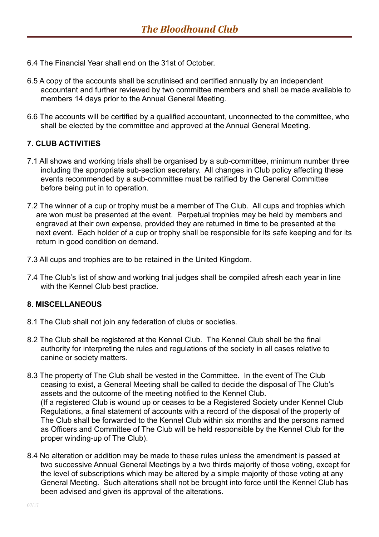- 6.4 The Financial Year shall end on the 31st of October.
- 6.5 A copy of the accounts shall be scrutinised and certified annually by an independent accountant and further reviewed by two committee members and shall be made available to members 14 days prior to the Annual General Meeting.
- 6.6 The accounts will be certified by a qualified accountant, unconnected to the committee, who shall be elected by the committee and approved at the Annual General Meeting.

## **7. CLUB ACTIVITIES**

- 7.1 All shows and working trials shall be organised by a sub-committee, minimum number three including the appropriate sub-section secretary. All changes in Club policy affecting these events recommended by a sub-committee must be ratified by the General Committee before being put in to operation.
- 7.2 The winner of a cup or trophy must be a member of The Club. All cups and trophies which are won must be presented at the event. Perpetual trophies may be held by members and engraved at their own expense, provided they are returned in time to be presented at the next event. Each holder of a cup or trophy shall be responsible for its safe keeping and for its return in good condition on demand.
- 7.3 All cups and trophies are to be retained in the United Kingdom.
- 7.4 The Club's list of show and working trial judges shall be compiled afresh each year in line with the Kennel Club best practice.

#### **8. MISCELLANEOUS**

- 8.1 The Club shall not join any federation of clubs or societies.
- 8.2 The Club shall be registered at the Kennel Club. The Kennel Club shall be the final authority for interpreting the rules and regulations of the society in all cases relative to canine or society matters.
- 8.3 The property of The Club shall be vested in the Committee. In the event of The Club ceasing to exist, a General Meeting shall be called to decide the disposal of The Club's assets and the outcome of the meeting notified to the Kennel Club. (If a registered Club is wound up or ceases to be a Registered Society under Kennel Club Regulations, a final statement of accounts with a record of the disposal of the property of The Club shall be forwarded to the Kennel Club within six months and the persons named as Officers and Committee of The Club will be held responsible by the Kennel Club for the proper winding-up of The Club).
- 8.4 No alteration or addition may be made to these rules unless the amendment is passed at two successive Annual General Meetings by a two thirds majority of those voting, except for the level of subscriptions which may be altered by a simple majority of those voting at any General Meeting. Such alterations shall not be brought into force until the Kennel Club has been advised and given its approval of the alterations.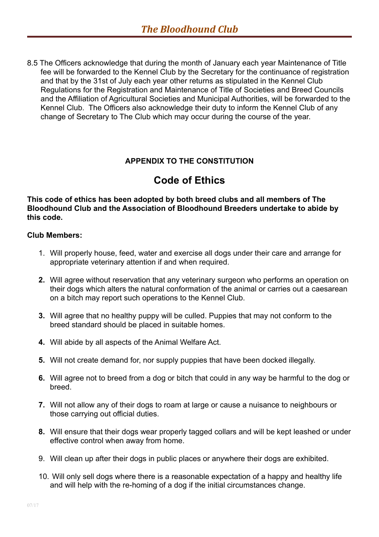8.5 The Officers acknowledge that during the month of January each year Maintenance of Title fee will be forwarded to the Kennel Club by the Secretary for the continuance of registration and that by the 31st of July each year other returns as stipulated in the Kennel Club Regulations for the Registration and Maintenance of Title of Societies and Breed Councils and the Affiliation of Agricultural Societies and Municipal Authorities, will be forwarded to the Kennel Club. The Officers also acknowledge their duty to inform the Kennel Club of any change of Secretary to The Club which may occur during the course of the year.

## **APPENDIX TO THE CONSTITUTION**

# **Code of Ethics**

**This code of ethics has been adopted by both breed clubs and all members of The Bloodhound Club and the Association of Bloodhound Breeders undertake to abide by this code.**

#### **Club Members:**

- 1. Will properly house, feed, water and exercise all dogs under their care and arrange for appropriate veterinary attention if and when required.
- **2.** Will agree without reservation that any veterinary surgeon who performs an operation on their dogs which alters the natural conformation of the animal or carries out a caesarean on a bitch may report such operations to the Kennel Club.
- **3.** Will agree that no healthy puppy will be culled. Puppies that may not conform to the breed standard should be placed in suitable homes.
- **4.** Will abide by all aspects of the Animal Welfare Act.
- **5.** Will not create demand for, nor supply puppies that have been docked illegally.
- **6.** Will agree not to breed from a dog or bitch that could in any way be harmful to the dog or breed.
- **7.** Will not allow any of their dogs to roam at large or cause a nuisance to neighbours or those carrying out official duties.
- **8.** Will ensure that their dogs wear properly tagged collars and will be kept leashed or under effective control when away from home.
- 9. Will clean up after their dogs in public places or anywhere their dogs are exhibited.
- 10. Will only sell dogs where there is a reasonable expectation of a happy and healthy life and will help with the re-homing of a dog if the initial circumstances change.